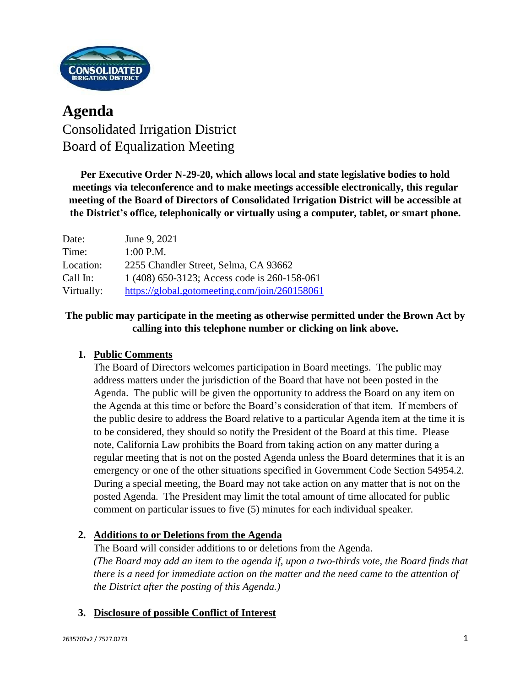

# **Agenda** Consolidated Irrigation District Board of Equalization Meeting

**Per Executive Order N-29-20, which allows local and state legislative bodies to hold meetings via teleconference and to make meetings accessible electronically, this regular meeting of the Board of Directors of Consolidated Irrigation District will be accessible at the District's office, telephonically or virtually using a computer, tablet, or smart phone.**

| Date:      | June 9, 2021                                  |
|------------|-----------------------------------------------|
| Time:      | $1:00$ P.M.                                   |
| Location:  | 2255 Chandler Street, Selma, CA 93662         |
| Call In:   | 1 (408) 650-3123; Access code is 260-158-061  |
| Virtually: | https://global.gotomeeting.com/join/260158061 |

# **The public may participate in the meeting as otherwise permitted under the Brown Act by calling into this telephone number or clicking on link above.**

# **1. Public Comments**

The Board of Directors welcomes participation in Board meetings. The public may address matters under the jurisdiction of the Board that have not been posted in the Agenda. The public will be given the opportunity to address the Board on any item on the Agenda at this time or before the Board's consideration of that item. If members of the public desire to address the Board relative to a particular Agenda item at the time it is to be considered, they should so notify the President of the Board at this time. Please note, California Law prohibits the Board from taking action on any matter during a regular meeting that is not on the posted Agenda unless the Board determines that it is an emergency or one of the other situations specified in Government Code Section 54954.2. During a special meeting, the Board may not take action on any matter that is not on the posted Agenda. The President may limit the total amount of time allocated for public comment on particular issues to five (5) minutes for each individual speaker.

### **2. Additions to or Deletions from the Agenda**

The Board will consider additions to or deletions from the Agenda. *(The Board may add an item to the agenda if, upon a two-thirds vote, the Board finds that there is a need for immediate action on the matter and the need came to the attention of the District after the posting of this Agenda.)*

### **3. Disclosure of possible Conflict of Interest**